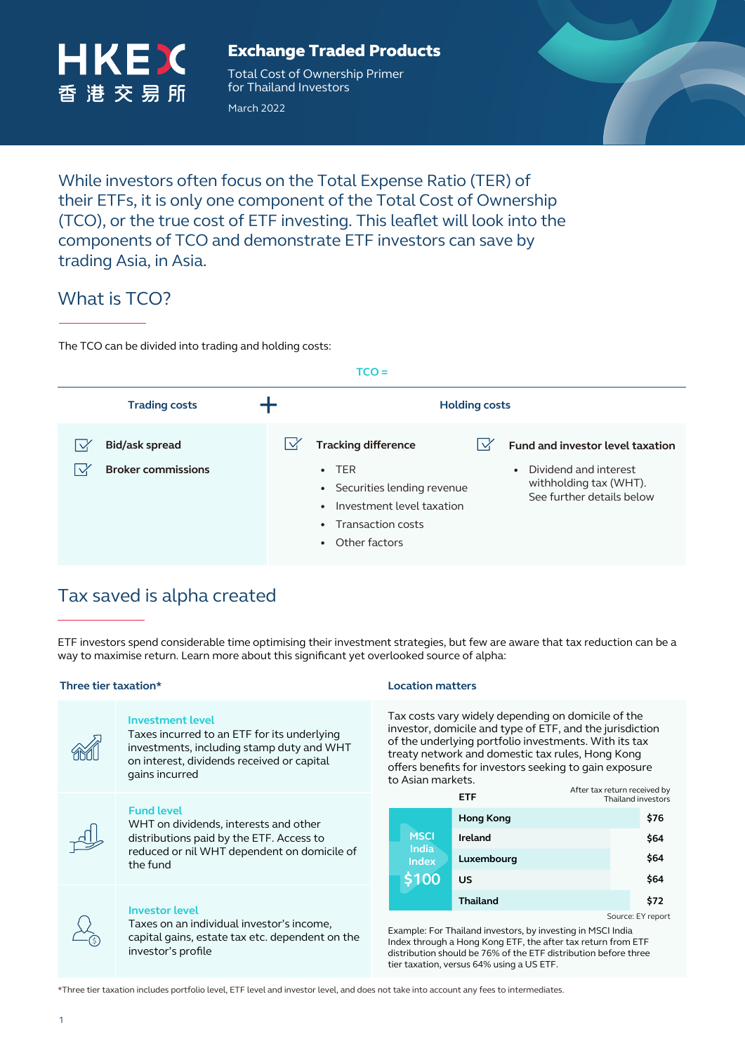

## Exchange Traded Products

Total Cost of Ownership Primer for Thailand Investors

March 2022



While investors often focus on the Total Expense Ratio (TER) of their ETFs, it is only one component of the Total Cost of Ownership (TCO), or the true cost of ETF investing. This leaflet will look into the components of TCO and demonstrate ETF investors can save by trading Asia, in Asia.

# What is TCO?

The TCO can be divided into trading and holding costs:

| $TCO =$                                                            |                                                                                                                                                                                                                                                                                                                      |  |  |  |  |
|--------------------------------------------------------------------|----------------------------------------------------------------------------------------------------------------------------------------------------------------------------------------------------------------------------------------------------------------------------------------------------------------------|--|--|--|--|
| <b>Trading costs</b>                                               | <b>Holding costs</b>                                                                                                                                                                                                                                                                                                 |  |  |  |  |
| <b>Bid/ask spread</b><br>$\checkmark$<br><b>Broker commissions</b> | <b>Tracking difference</b><br>Fund and investor level taxation<br>$\cdot$ TER<br>Dividend and interest<br>$\bullet$<br>withholding tax (WHT).<br>• Securities lending revenue<br>See further details below<br>Investment level taxation<br>$\bullet$<br>Transaction costs<br>$\bullet$<br>Other factors<br>$\bullet$ |  |  |  |  |

# Tax saved is alpha created

ETF investors spend considerable time optimising their investment strategies, but few are aware that tax reduction can be a way to maximise return. Learn more about this significant yet overlooked source of alpha:

## **Three tier taxation\* Location matters**



## **Investment level**

Taxes incurred to an ETF for its underlying investments, including stamp duty and WHT on interest, dividends received or capital gains incurred

## **Fund level**

WHT on dividends, interests and other distributions paid by the ETF. Access to reduced or nil WHT dependent on domicile of the fund



### **Investor level**

Taxes on an individual investor's income, capital gains, estate tax etc. dependent on the investor's profile

Tax costs vary widely depending on domicile of the investor, domicile and type of ETF, and the jurisdiction of the underlying portfolio investments. With its tax treaty network and domestic tax rules, Hong Kong offers benefits for investors seeking to gain exposure to Asian markets.

|                                                      | <b>ETF</b>       | After tax return received by<br>Thailand investors |      |  |
|------------------------------------------------------|------------------|----------------------------------------------------|------|--|
| <b>MSCI</b><br><b>India</b><br><b>Index</b><br>\$100 | <b>Hong Kong</b> |                                                    | \$76 |  |
|                                                      | Ireland          |                                                    | \$64 |  |
|                                                      | Luxembourg       |                                                    | \$64 |  |
|                                                      | US               |                                                    | \$64 |  |
|                                                      | <b>Thailand</b>  |                                                    | \$72 |  |
| Source: EY report                                    |                  |                                                    |      |  |

Example: For Thailand investors, by investing in MSCI India Index through a Hong Kong ETF, the after tax return from ETF distribution should be 76% of the ETF distribution before three tier taxation, versus 64% using a US ETF.

\*Three tier taxation includes portfolio level, ETF level and investor level, and does not take into account any fees to intermediates.